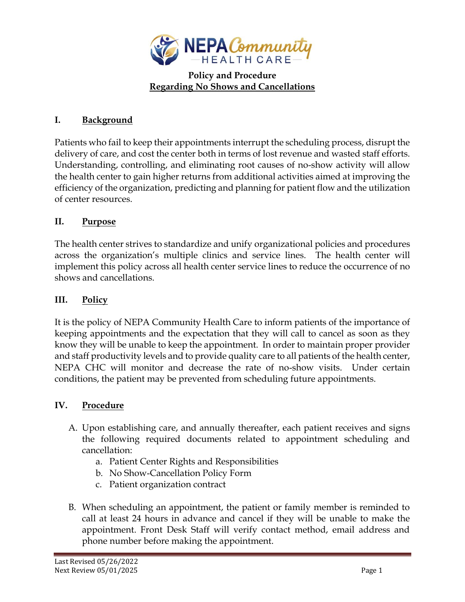

## **Policy and Procedure Regarding No Shows and Cancellations**

## **I. Background**

Patients who fail to keep their appointments interrupt the scheduling process, disrupt the delivery of care, and cost the center both in terms of lost revenue and wasted staff efforts. Understanding, controlling, and eliminating root causes of no-show activity will allow the health center to gain higher returns from additional activities aimed at improving the efficiency of the organization, predicting and planning for patient flow and the utilization of center resources.

## **II. Purpose**

The health center strives to standardize and unify organizational policies and procedures across the organization's multiple clinics and service lines. The health center will implement this policy across all health center service lines to reduce the occurrence of no shows and cancellations.

## **III. Policy**

It is the policy of NEPA Community Health Care to inform patients of the importance of keeping appointments and the expectation that they will call to cancel as soon as they know they will be unable to keep the appointment. In order to maintain proper provider and staff productivity levels and to provide quality care to all patients of the health center, NEPA CHC will monitor and decrease the rate of no-show visits. Under certain conditions, the patient may be prevented from scheduling future appointments.

# **IV. Procedure**

- A. Upon establishing care, and annually thereafter, each patient receives and signs the following required documents related to appointment scheduling and cancellation:
	- a. Patient Center Rights and Responsibilities
	- b. No Show-Cancellation Policy Form
	- c. Patient organization contract
- B. When scheduling an appointment, the patient or family member is reminded to call at least 24 hours in advance and cancel if they will be unable to make the appointment. Front Desk Staff will verify contact method, email address and phone number before making the appointment.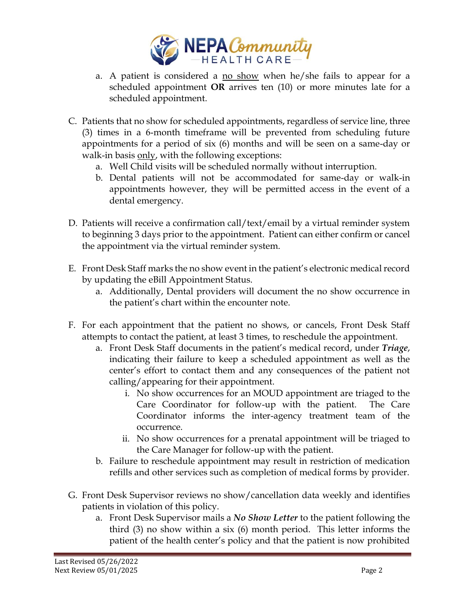

- a. A patient is considered a no show when he/she fails to appear for a scheduled appointment **OR** arrives ten (10) or more minutes late for a scheduled appointment.
- C. Patients that no show for scheduled appointments, regardless of service line, three (3) times in a 6-month timeframe will be prevented from scheduling future appointments for a period of six (6) months and will be seen on a same-day or walk-in basis only, with the following exceptions:
	- a. Well Child visits will be scheduled normally without interruption.
	- b. Dental patients will not be accommodated for same-day or walk-in appointments however, they will be permitted access in the event of a dental emergency.
- D. Patients will receive a confirmation call/text/email by a virtual reminder system to beginning 3 days prior to the appointment. Patient can either confirm or cancel the appointment via the virtual reminder system.
- E. Front Desk Staff marks the no show event in the patient's electronic medical record by updating the eBill Appointment Status.
	- a. Additionally, Dental providers will document the no show occurrence in the patient's chart within the encounter note.
- F. For each appointment that the patient no shows, or cancels, Front Desk Staff attempts to contact the patient, at least 3 times, to reschedule the appointment.
	- a. Front Desk Staff documents in the patient's medical record, under *Triage*, indicating their failure to keep a scheduled appointment as well as the center's effort to contact them and any consequences of the patient not calling/appearing for their appointment.
		- i. No show occurrences for an MOUD appointment are triaged to the Care Coordinator for follow-up with the patient. The Care Coordinator informs the inter-agency treatment team of the occurrence.
		- ii. No show occurrences for a prenatal appointment will be triaged to the Care Manager for follow-up with the patient.
	- b. Failure to reschedule appointment may result in restriction of medication refills and other services such as completion of medical forms by provider.
- G. Front Desk Supervisor reviews no show/cancellation data weekly and identifies patients in violation of this policy.
	- a. Front Desk Supervisor mails a *No Show Letter* to the patient following the third (3) no show within a six (6) month period. This letter informs the patient of the health center's policy and that the patient is now prohibited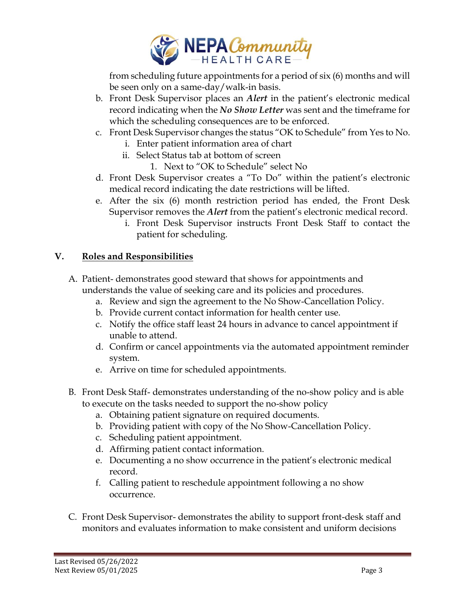

from scheduling future appointments for a period of six (6) months and will be seen only on a same-day/walk-in basis.

- b. Front Desk Supervisor places an *Alert* in the patient's electronic medical record indicating when the *No Show Letter* was sent and the timeframe for which the scheduling consequences are to be enforced.
- c. Front Desk Supervisor changes the status "OK to Schedule" from Yes to No.
	- i. Enter patient information area of chart
	- ii. Select Status tab at bottom of screen
		- 1. Next to "OK to Schedule" select No
- d. Front Desk Supervisor creates a "To Do" within the patient's electronic medical record indicating the date restrictions will be lifted.
- e. After the six (6) month restriction period has ended, the Front Desk Supervisor removes the *Alert* from the patient's electronic medical record.
	- i. Front Desk Supervisor instructs Front Desk Staff to contact the patient for scheduling.

#### **V. Roles and Responsibilities**

- A. Patient- demonstrates good steward that shows for appointments and understands the value of seeking care and its policies and procedures.
	- a. Review and sign the agreement to the No Show-Cancellation Policy.
	- b. Provide current contact information for health center use.
	- c. Notify the office staff least 24 hours in advance to cancel appointment if unable to attend.
	- d. Confirm or cancel appointments via the automated appointment reminder system.
	- e. Arrive on time for scheduled appointments.
- B. Front Desk Staff- demonstrates understanding of the no-show policy and is able to execute on the tasks needed to support the no-show policy
	- a. Obtaining patient signature on required documents.
	- b. Providing patient with copy of the No Show-Cancellation Policy.
	- c. Scheduling patient appointment.
	- d. Affirming patient contact information.
	- e. Documenting a no show occurrence in the patient's electronic medical record.
	- f. Calling patient to reschedule appointment following a no show occurrence.
- C. Front Desk Supervisor- demonstrates the ability to support front-desk staff and monitors and evaluates information to make consistent and uniform decisions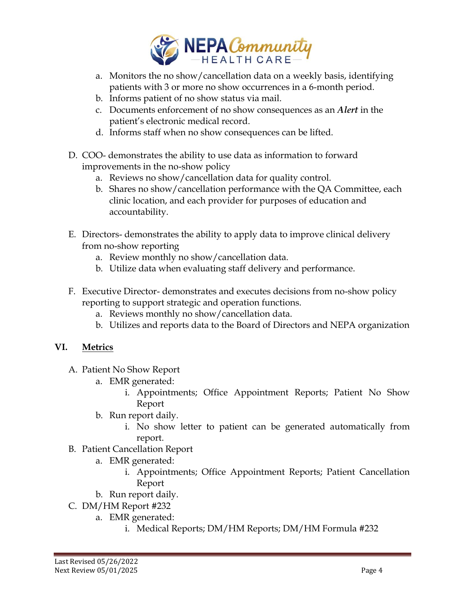

- a. Monitors the no show/cancellation data on a weekly basis, identifying patients with 3 or more no show occurrences in a 6-month period.
- b. Informs patient of no show status via mail.
- c. Documents enforcement of no show consequences as an *Alert* in the patient's electronic medical record.
- d. Informs staff when no show consequences can be lifted.
- D. COO- demonstrates the ability to use data as information to forward improvements in the no-show policy
	- a. Reviews no show/cancellation data for quality control.
	- b. Shares no show/cancellation performance with the QA Committee, each clinic location, and each provider for purposes of education and accountability.
- E. Directors- demonstrates the ability to apply data to improve clinical delivery from no-show reporting
	- a. Review monthly no show/cancellation data.
	- b. Utilize data when evaluating staff delivery and performance.
- F. Executive Director- demonstrates and executes decisions from no-show policy reporting to support strategic and operation functions.
	- a. Reviews monthly no show/cancellation data.
	- b. Utilizes and reports data to the Board of Directors and NEPA organization

# **VI. Metrics**

- A. Patient No Show Report
	- a. EMR generated:
		- i. Appointments; Office Appointment Reports; Patient No Show Report
	- b. Run report daily.
		- i. No show letter to patient can be generated automatically from report.
- B. Patient Cancellation Report
	- a. EMR generated:
		- i. Appointments; Office Appointment Reports; Patient Cancellation Report
	- b. Run report daily.
- C. DM/HM Report #232
	- a. EMR generated:
		- i. Medical Reports; DM/HM Reports; DM/HM Formula #232